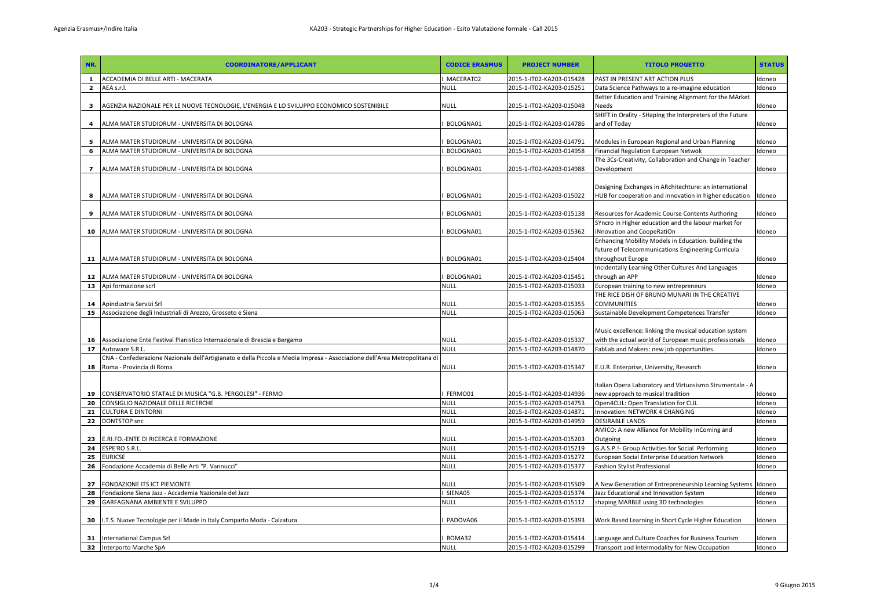| NR.                     | <b>COORDINATORE/APPLICANT</b>                                                                                                                         | <b>CODICE ERASMUS</b>      | <b>PROJECT NUMBER</b>                                | <b>TITOLO PROGETTO</b>                                                                                           | <b>STATUS</b>  |
|-------------------------|-------------------------------------------------------------------------------------------------------------------------------------------------------|----------------------------|------------------------------------------------------|------------------------------------------------------------------------------------------------------------------|----------------|
| $\mathbf{1}$            | ACCADEMIA DI BELLE ARTI - MACERATA                                                                                                                    | MACERAT02                  | 2015-1-IT02-KA203-015428                             | PAST IN PRESENT ART ACTION PLUS                                                                                  | Idoneo         |
| $\overline{\mathbf{2}}$ | AEA s.r.l.                                                                                                                                            | <b>NULL</b>                | 2015-1-IT02-KA203-015251                             | Data Science Pathways to a re-imagine education                                                                  | ldoneo         |
| 3                       | AGENZIA NAZIONALE PER LE NUOVE TECNOLOGIE, L'ENERGIA E LO SVILUPPO ECONOMICO SOSTENIBILE                                                              | <b>NULL</b>                | 2015-1-IT02-KA203-015048                             | Better Education and Training Alignment for the MArket<br>Needs                                                  | doneo          |
|                         | ALMA MATER STUDIORUM - UNIVERSITA DI BOLOGNA                                                                                                          | BOLOGNA01                  | 2015-1-IT02-KA203-014786                             | SHIFT in Orality - SHaping the Interpreters of the Future<br>and of Today                                        | doneo          |
| 5                       | ALMA MATER STUDIORUM - UNIVERSITA DI BOLOGNA                                                                                                          | BOLOGNA01                  | 2015-1-IT02-KA203-014791                             | Modules in European Regional and Urban Planning                                                                  | doneo          |
| 6                       | ALMA MATER STUDIORUM - UNIVERSITA DI BOLOGNA                                                                                                          | BOLOGNA01                  | 2015-1-IT02-KA203-014958                             | Financial Regulation European Netwok                                                                             | doneo          |
| $\mathbf{z}$            | ALMA MATER STUDIORUM - UNIVERSITA DI BOLOGNA                                                                                                          | BOLOGNA01                  | 2015-1-IT02-KA203-014988                             | The 3Cs-Creativity, Collaboration and Change in Teacher<br>Development                                           | doneo          |
| 8                       | ALMA MATER STUDIORUM - UNIVERSITA DI BOLOGNA                                                                                                          | BOLOGNA01                  | 2015-1-IT02-KA203-015022                             | Designing Exchanges in ARchitechture: an international<br>HUB for cooperation and innovation in higher education | ldoneo         |
| 9                       | ALMA MATER STUDIORUM - UNIVERSITA DI BOLOGNA                                                                                                          | BOLOGNA01                  | 2015-1-IT02-KA203-015138                             | Resources for Academic Course Contents Authoring                                                                 | doneo          |
|                         |                                                                                                                                                       |                            |                                                      | SYncro in Higher education and the labour market for                                                             |                |
|                         | 10 ALMA MATER STUDIORUM - UNIVERSITA DI BOLOGNA                                                                                                       | BOLOGNA01                  | 2015-1-IT02-KA203-015362                             | iNnovation and CoopeRatiOn<br>Enhancing Mobility Models in Education: building the                               | doneo          |
| 11                      | ALMA MATER STUDIORUM - UNIVERSITA DI BOLOGNA                                                                                                          | BOLOGNA01                  | 2015-1-IT02-KA203-015404                             | future of Telecommunications Engineering Curricula<br>throughout Europe                                          | ldoneo         |
|                         |                                                                                                                                                       |                            |                                                      | Incidentally Learning Other Cultures And Languages                                                               |                |
| 12                      | ALMA MATER STUDIORUM - UNIVERSITA DI BOLOGNA                                                                                                          | BOLOGNA01                  | 2015-1-IT02-KA203-015451                             | through an APP                                                                                                   | doneo          |
| 13                      | Api formazione scrl                                                                                                                                   | <b>NULL</b>                | 2015-1-IT02-KA203-015033                             | European training to new entrepreneurs                                                                           | doneo          |
| 14                      | Apindustria Servizi Srl                                                                                                                               | <b>NULL</b>                | 2015-1-IT02-KA203-015355                             | THE RICE DISH OF BRUNO MUNARI IN THE CREATIVE<br><b>COMMUNITIES</b>                                              | doneo          |
| 15                      | Associazione degli Industriali di Arezzo, Grosseto e Siena                                                                                            | <b>NULL</b>                | 2015-1-IT02-KA203-015063                             | Sustainable Development Competences Transfer                                                                     | doneo          |
|                         |                                                                                                                                                       |                            |                                                      | Music excellence: linking the musical education system                                                           |                |
| 16                      | Associazione Ente Festival Pianistico Internazionale di Brescia e Bergamo                                                                             | <b>NULL</b>                | 2015-1-IT02-KA203-015337                             | with the actual world of European music professionals                                                            | doneo          |
| 17                      | Autoware S.R.L.                                                                                                                                       | <b>NULL</b>                | 2015-1-IT02-KA203-014870                             | FabLab and Makers: new job opportunities.                                                                        | doneo          |
| 18                      | CNA - Confederazione Nazionale dell'Artigianato e della Piccola e Media Impresa - Associazione dell'Area Metropolitana di<br>Roma - Provincia di Roma | <b>NULL</b>                | 2015-1-IT02-KA203-015347                             | E.U.R. Enterprise, University, Research                                                                          | Idoneo         |
|                         |                                                                                                                                                       |                            |                                                      | Italian Opera Laboratory and Virtuosismo Strumentale - A                                                         |                |
| 19                      | CONSERVATORIO STATALE DI MUSICA "G.B. PERGOLESI" - FERMO                                                                                              | FERMO01                    | 2015-1-IT02-KA203-014936                             | new approach to musical tradition                                                                                | doneo          |
| 20<br>21                | CONSIGLIO NAZIONALE DELLE RICERCHE<br><b>CULTURA E DINTORNI</b>                                                                                       | <b>NULL</b><br><b>NULL</b> | 2015-1-IT02-KA203-014753<br>2015-1-IT02-KA203-014871 | Open4CLIL: Open Translation for CLIL<br>Innovation: NETWORK 4 CHANGING                                           | doneo<br>doneo |
| 22                      | <b>DONTSTOP</b> snc                                                                                                                                   | <b>NULL</b>                | 2015-1-IT02-KA203-014959                             | <b>DESIRABLE LANDS</b>                                                                                           | doneo          |
|                         |                                                                                                                                                       |                            |                                                      | AMICO: A new Alliance for Mobility InComing and                                                                  |                |
| 23                      | E.RI.FO.-ENTE DI RICERCA E FORMAZIONE                                                                                                                 | <b>NULL</b>                | 2015-1-IT02-KA203-015203                             | Outgoing                                                                                                         | doneo          |
| 24                      | ESPE'RO S.R.L.                                                                                                                                        | <b>NULL</b>                | 2015-1-IT02-KA203-015219                             | G.A.S.P.!- Group Activities for Social Performing                                                                | doneo          |
| 25                      | <b>EURICSE</b>                                                                                                                                        | <b>NULL</b>                | 2015-1-IT02-KA203-015272                             | European Social Enterprise Education Network                                                                     | doneo          |
| 26                      | Fondazione Accademia di Belle Arti "P. Vannucci"                                                                                                      | <b>NULL</b>                | 2015-1-IT02-KA203-015377                             | Fashion Stylist Professional                                                                                     | doneo          |
| 27                      | FONDAZIONE ITS ICT PIEMONTE                                                                                                                           | NULL                       | 2015-1-IT02-KA203-015509                             | A New Generation of Entrepreneurship Learning Systems                                                            | Idoneo         |
| 28                      | Fondazione Siena Jazz - Accademia Nazionale del Jazz                                                                                                  | SIENA05                    | 2015-1-IT02-KA203-015374                             | Jazz Educational and Innovation System                                                                           | ldoneo         |
| 29                      | GARFAGNANA AMBIENTE E SVILUPPO                                                                                                                        | <b>NULL</b>                | 2015-1-IT02-KA203-015112                             | shaping MARBLE using 3D technologies                                                                             | doneo          |
| 30                      | I.T.S. Nuove Tecnologie per il Made in Italy Comparto Moda - Calzatura                                                                                | PADOVA06                   | 2015-1-IT02-KA203-015393                             | Work Based Learning in Short Cycle Higher Education                                                              | doneo          |
| 31                      | <b>International Campus Srl</b>                                                                                                                       | ROMA32                     | 2015-1-IT02-KA203-015414                             | Language and Culture Coaches for Business Tourism                                                                | doneo          |
|                         | 32 Interporto Marche SpA                                                                                                                              | <b>NULL</b>                | 2015-1-IT02-KA203-015299                             | Transport and Intermodality for New Occupation                                                                   | Idoneo         |
|                         |                                                                                                                                                       |                            |                                                      |                                                                                                                  |                |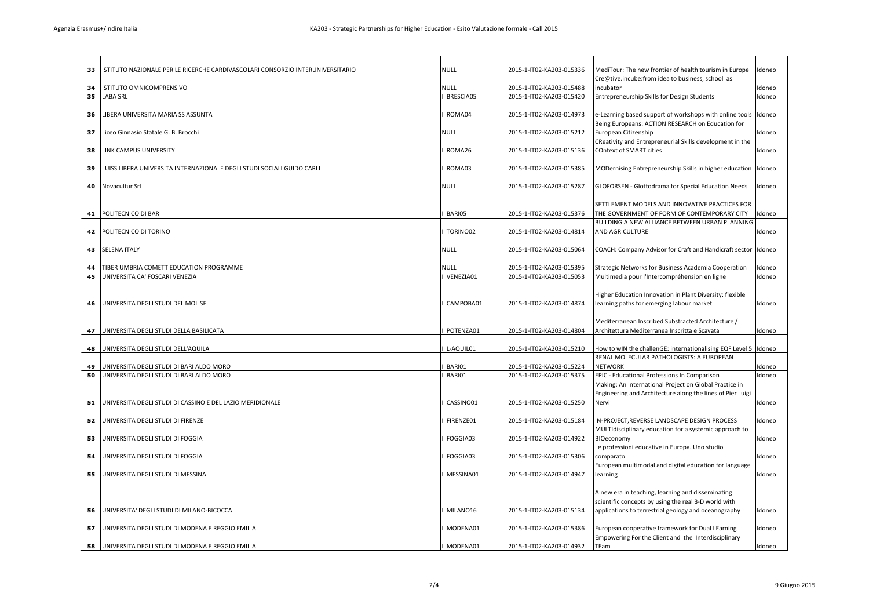| 33 | ISTITUTO NAZIONALE PER LE RICERCHE CARDIVASCOLARI CONSORZIO INTERUNIVERSITARIO | null        | 2015-1-IT02-KA203-015336 | MediTour: The new frontier of health tourism in Europe                                                 | Idoneo |
|----|--------------------------------------------------------------------------------|-------------|--------------------------|--------------------------------------------------------------------------------------------------------|--------|
|    |                                                                                |             |                          | Cre@tive.incube:from idea to business, school as                                                       |        |
| 34 | ISTITUTO OMNICOMPRENSIVO                                                       | <b>NULL</b> | 2015-1-IT02-KA203-015488 | incubator                                                                                              | Idoneo |
| 35 | LABA SRL                                                                       | BRESCIA05   | 2015-1-IT02-KA203-015420 | Entrepreneurship Skills for Design Students                                                            | Idoneo |
|    |                                                                                |             |                          |                                                                                                        |        |
| 36 | LIBERA UNIVERSITA MARIA SS ASSUNTA                                             | ROMA04      | 2015-1-IT02-KA203-014973 | e-Learning based support of workshops with online tools                                                | Idoneo |
|    |                                                                                |             |                          | Being Europeans: ACTION RESEARCH on Education for                                                      |        |
| 37 | Liceo Ginnasio Statale G. B. Brocchi                                           | <b>NULL</b> | 2015-1-IT02-KA203-015212 | European Citizenship                                                                                   | Idoneo |
|    |                                                                                |             |                          | CReativity and Entrepreneurial Skills development in the                                               |        |
| 38 | LINK CAMPUS UNIVERSITY                                                         | ROMA26      | 2015-1-IT02-KA203-015136 | <b>COntext of SMART cities</b>                                                                         | Idoneo |
| 39 | LUISS LIBERA UNIVERSITA INTERNAZIONALE DEGLI STUDI SOCIALI GUIDO CARLI         | ROMA03      | 2015-1-IT02-KA203-015385 | MODernising Entrepreneurship Skills in higher education                                                | Idoneo |
|    |                                                                                |             |                          |                                                                                                        |        |
| 40 | Novacultur Srl                                                                 | <b>NULL</b> | 2015-1-IT02-KA203-015287 | GLOFORSEN - Glottodrama for Special Education Needs                                                    | Idoneo |
|    |                                                                                |             |                          |                                                                                                        |        |
|    |                                                                                |             |                          | SETTLEMENT MODELS AND INNOVATIVE PRACTICES FOR                                                         |        |
| 41 | POLITECNICO DI BARI                                                            | BARI05      | 2015-1-IT02-KA203-015376 | THE GOVERNMENT OF FORM OF CONTEMPORARY CITY                                                            | Idoneo |
|    |                                                                                |             |                          | BUILDING A NEW ALLIANCE BETWEEN URBAN PLANNING                                                         |        |
| 42 | POLITECNICO DI TORINO                                                          | TORINO02    | 2015-1-IT02-KA203-014814 | AND AGRICULTURE                                                                                        | Idoneo |
|    |                                                                                |             |                          |                                                                                                        |        |
| 43 | <b>SELENA ITALY</b>                                                            | NULL        | 2015-1-IT02-KA203-015064 | COACH: Company Advisor for Craft and Handicraft sector                                                 | Idoneo |
| 44 | TIBER UMBRIA COMETT EDUCATION PROGRAMME                                        | NULL        | 2015-1-IT02-KA203-015395 | Strategic Networks for Business Academia Cooperation                                                   | Idoneo |
| 45 | UNIVERSITA CA' FOSCARI VENEZIA                                                 | VENEZIA01   | 2015-1-IT02-KA203-015053 | Multimedia pour l'Intercompréhension en ligne                                                          | Idoneo |
|    |                                                                                |             |                          |                                                                                                        |        |
|    |                                                                                |             |                          | Higher Education Innovation in Plant Diversity: flexible                                               |        |
| 46 | UNIVERSITA DEGLI STUDI DEL MOLISE                                              | CAMPOBA01   | 2015-1-IT02-KA203-014874 | learning paths for emerging labour market                                                              | Idoneo |
|    |                                                                                |             |                          |                                                                                                        |        |
|    |                                                                                |             |                          | Mediterranean Inscribed Substracted Architecture /                                                     |        |
| 47 | UNIVERSITA DEGLI STUDI DELLA BASILICATA                                        | POTENZA01   | 2015-1-IT02-KA203-014804 | Architettura Mediterranea Inscritta e Scavata                                                          | Idoneo |
| 48 | UNIVERSITA DEGLI STUDI DELL'AQUILA                                             | L-AQUIL01   | 2015-1-IT02-KA203-015210 | How to wIN the challenGE: internationalising EQF Level 5 Idoneo                                        |        |
|    |                                                                                |             |                          | RENAL MOLECULAR PATHOLOGISTS: A EUROPEAN                                                               |        |
| 49 | UNIVERSITA DEGLI STUDI DI BARI ALDO MORO                                       | BARI01      | 2015-1-IT02-KA203-015224 | <b>NETWORK</b>                                                                                         | Idoneo |
| 50 | UNIVERSITA DEGLI STUDI DI BARI ALDO MORO                                       | BARI01      | 2015-1-IT02-KA203-015375 | EPIC - Educational Professions In Comparison                                                           | Idoneo |
|    |                                                                                |             |                          | Making: An International Project on Global Practice in                                                 |        |
|    |                                                                                |             |                          | Engineering and Architecture along the lines of Pier Luigi                                             |        |
| 51 | UNIVERSITA DEGLI STUDI DI CASSINO E DEL LAZIO MERIDIONALE                      | CASSINO01   | 2015-1-IT02-KA203-015250 | Nervi                                                                                                  | Idoneo |
|    |                                                                                |             |                          |                                                                                                        |        |
| 52 | UNIVERSITA DEGLI STUDI DI FIRENZE                                              | FIRENZE01   | 2015-1-IT02-KA203-015184 | IN-PROJECT, REVERSE LANDSCAPE DESIGN PROCESS<br>MULTIdisciplinary education for a systemic approach to | Idoneo |
| 53 | UNIVERSITA DEGLI STUDI DI FOGGIA                                               | FOGGIA03    | 2015-1-IT02-KA203-014922 | <b>BIOeconomy</b>                                                                                      | Idoneo |
|    |                                                                                |             |                          | Le professioni educative in Europa. Uno studio                                                         |        |
| 54 | UNIVERSITA DEGLI STUDI DI FOGGIA                                               | FOGGIA03    | 2015-1-IT02-KA203-015306 | comparato                                                                                              | Idoneo |
|    |                                                                                |             |                          | European multimodal and digital education for language                                                 |        |
| 55 | UNIVERSITA DEGLI STUDI DI MESSINA                                              | MESSINA01   | 2015-1-IT02-KA203-014947 | learning                                                                                               | Idoneo |
|    |                                                                                |             |                          |                                                                                                        |        |
|    |                                                                                |             |                          | A new era in teaching, learning and disseminating                                                      |        |
|    |                                                                                |             |                          | scientific concepts by using the real 3-D world with                                                   |        |
| 56 | UNIVERSITA' DEGLI STUDI DI MILANO-BICOCCA                                      | MILANO16    | 2015-1-IT02-KA203-015134 | applications to terrestrial geology and oceanography                                                   | Idoneo |
| 57 | UNIVERSITA DEGLI STUDI DI MODENA E REGGIO EMILIA                               | MODENA01    | 2015-1-IT02-KA203-015386 | European cooperative framework for Dual LEarning                                                       | Idoneo |
|    |                                                                                |             |                          | Empowering For the Client and the Interdisciplinary                                                    |        |
| 58 | UNIVERSITA DEGLI STUDI DI MODENA E REGGIO EMILIA                               | MODENA01    | 2015-1-IT02-KA203-014932 | TEam                                                                                                   | Idoneo |
|    |                                                                                |             |                          |                                                                                                        |        |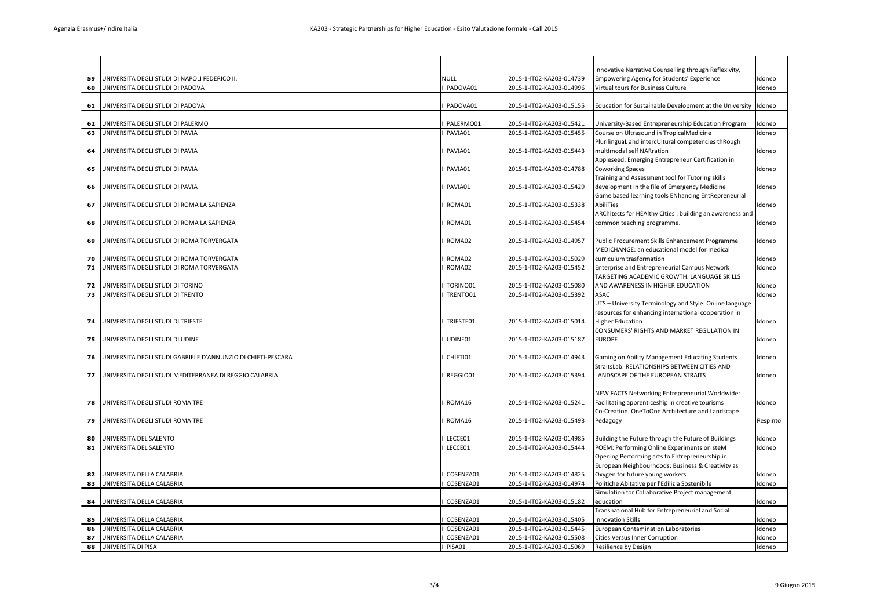| 59 | UNIVERSITA DEGLI STUDI DI NAPOLI FEDERICO II.                | NULL                   | 2015-1-IT02-KA203-014739 | Innovative Narrative Counselling through Reflexivity,<br>Empowering Agency for Students' Experience  | ldoneo   |
|----|--------------------------------------------------------------|------------------------|--------------------------|------------------------------------------------------------------------------------------------------|----------|
| 60 | UNIVERSITA DEGLI STUDI DI PADOVA                             | PADOVA01               | 2015-1-IT02-KA203-014996 | Virtual tours for Business Culture                                                                   | Idoneo   |
|    |                                                              |                        |                          |                                                                                                      |          |
| 61 | UNIVERSITA DEGLI STUDI DI PADOVA                             | PADOVA01               | 2015-1-IT02-KA203-015155 | Education for Sustainable Development at the University                                              | Idoneo   |
|    |                                                              |                        |                          |                                                                                                      |          |
| 62 | UNIVERSITA DEGLI STUDI DI PALERMO                            | PALERMO01              | 2015-1-IT02-KA203-015421 | University-Based Entrepreneurship Education Program                                                  | doneo    |
| 63 | UNIVERSITA DEGLI STUDI DI PAVIA                              | PAVIA01                | 2015-1-IT02-KA203-015455 | Course on Ultrasound in TropicalMedicine                                                             | Idoneo   |
|    |                                                              |                        |                          | PlurilinguaL and intercUltural competencies thRough                                                  |          |
| 64 | UNIVERSITA DEGLI STUDI DI PAVIA                              | PAVIA01                | 2015-1-IT02-KA203-015443 | multImodal self NARration<br>Appleseed: Emerging Entrepreneur Certification in                       | Idoneo   |
| 65 | UNIVERSITA DEGLI STUDI DI PAVIA                              | PAVIA01                | 2015-1-IT02-KA203-014788 | Coworking Spaces                                                                                     | Idoneo   |
|    |                                                              |                        |                          | Training and Assessment tool for Tutoring skills                                                     |          |
| 66 | UNIVERSITA DEGLI STUDI DI PAVIA                              | PAVIA01                | 2015-1-IT02-KA203-015429 | development in the file of Emergency Medicine                                                        | Idoneo   |
|    |                                                              |                        |                          | Game based learning tools ENhancing EntRepreneurial                                                  |          |
| 67 | UNIVERSITA DEGLI STUDI DI ROMA LA SAPIENZA                   | ROMA01                 | 2015-1-IT02-KA203-015338 | AbiliTies                                                                                            | doneo    |
|    |                                                              |                        |                          | ARChitects for HEAlthy Cities : building an awareness and                                            |          |
| 68 | UNIVERSITA DEGLI STUDI DI ROMA LA SAPIENZA                   | ROMA01                 | 2015-1-IT02-KA203-015454 | common teaching programme.                                                                           | Idoneo   |
|    |                                                              |                        |                          |                                                                                                      |          |
| 69 | UNIVERSITA DEGLI STUDI DI ROMA TORVERGATA                    | ROMA02                 | 2015-1-IT02-KA203-014957 | Public Procurement Skills Enhancement Programme<br>MEDICHANGE: an educational model for medical      | Idoneo   |
| 70 | UNIVERSITA DEGLI STUDI DI ROMA TORVERGATA                    | ROMA02                 | 2015-1-IT02-KA203-015029 | curriculum trasformation                                                                             | Idoneo   |
| 71 | UNIVERSITA DEGLI STUDI DI ROMA TORVERGATA                    | ROMA02                 | 2015-1-IT02-KA203-015452 | Enterprise and Entrepreneurial Campus Network                                                        | Idoneo   |
|    |                                                              |                        |                          | TARGETING ACADEMIC GROWTH. LANGUAGE SKILLS                                                           |          |
| 72 | UNIVERSITA DEGLI STUDI DI TORINO                             | TORINO01               | 2015-1-IT02-KA203-015080 | AND AWARENESS IN HIGHER EDUCATION                                                                    | Idoneo   |
| 73 | UNIVERSITA DEGLI STUDI DI TRENTO                             | TRENTO01               | 2015-1-IT02-KA203-015392 | ASAC                                                                                                 | Idoneo   |
|    |                                                              |                        |                          | UTS - University Terminology and Style: Online language                                              |          |
|    |                                                              |                        |                          | resources for enhancing international cooperation in                                                 |          |
| 74 | UNIVERSITA DEGLI STUDI DI TRIESTE                            | TRIESTE01              | 2015-1-IT02-KA203-015014 | Higher Education<br>CONSUMERS' RIGHTS AND MARKET REGULATION IN                                       | Idoneo   |
| 75 | UNIVERSITA DEGLI STUDI DI UDINE                              | UDINE01                | 2015-1-IT02-KA203-015187 | EUROPE                                                                                               | Idoneo   |
|    |                                                              |                        |                          |                                                                                                      |          |
| 76 | UNIVERSITA DEGLI STUDI GABRIELE D'ANNUNZIO DI CHIETI-PESCARA | CHIETI01               | 2015-1-IT02-KA203-014943 | Gaming on Ability Management Educating Students                                                      | Idoneo   |
|    |                                                              |                        |                          | StraitsLab: RELATIONSHIPS BETWEEN CITIES AND                                                         |          |
|    | 77 UNIVERSITA DEGLI STUDI MEDITERRANEA DI REGGIO CALABRIA    | REGGIO01               | 2015-1-IT02-KA203-015394 | LANDSCAPE OF THE EUROPEAN STRAITS                                                                    | Idoneo   |
|    |                                                              |                        |                          |                                                                                                      |          |
|    |                                                              |                        |                          | NEW FACTS Networking Entrepreneurial Worldwide:                                                      |          |
| 78 | UNIVERSITA DEGLI STUDI ROMA TRE                              | ROMA16                 | 2015-1-IT02-KA203-015241 | Facilitating apprenticeship in creative tourisms<br>Co-Creation. OneToOne Architecture and Landscape | Idoneo   |
| 79 | UNIVERSITA DEGLI STUDI ROMA TRE                              | ROMA16                 | 2015-1-IT02-KA203-015493 | Pedagogy                                                                                             | Respinto |
|    |                                                              |                        |                          |                                                                                                      |          |
| 80 | UNIVERSITA DEL SALENTO                                       | LECCE01                | 2015-1-IT02-KA203-014985 | Building the Future through the Future of Buildings                                                  | doneo    |
| 81 | UNIVERSITA DEL SALENTO                                       | LECCE01                | 2015-1-IT02-KA203-015444 | POEM: Performing Online Experiments on steM                                                          | Idoneo   |
|    |                                                              |                        |                          | Opening Performing arts to Entrepreneurship in                                                       |          |
|    |                                                              |                        |                          | European Neighbourhoods: Business & Creativity as                                                    |          |
| 82 | UNIVERSITA DELLA CALABRIA<br>UNIVERSITA DELLA CALABRIA       | COSENZA01<br>COSENZA01 | 2015-1-IT02-KA203-014825 | Oxygen for future young workers                                                                      | Idoneo   |
| 83 |                                                              |                        | 2015-1-IT02-KA203-014974 | Politiche Abitative per l'Edilizia Sostenibile<br>Simulation for Collaborative Project management    | Idoneo   |
| 84 | UNIVERSITA DELLA CALABRIA                                    | COSENZA01              | 2015-1-IT02-KA203-015182 | education                                                                                            | Idoneo   |
|    |                                                              |                        |                          | Transnational Hub for Entrepreneurial and Social                                                     |          |
| 85 | UNIVERSITA DELLA CALABRIA                                    | COSENZA01              | 2015-1-IT02-KA203-015405 | <b>Innovation Skills</b>                                                                             | Idoneo   |
| 86 | UNIVERSITA DELLA CALABRIA                                    | COSENZA01              | 2015-1-IT02-KA203-015445 | European Contamination Laboratories                                                                  | Idoneo   |
| 87 | UNIVERSITA DELLA CALABRIA                                    | COSENZA01              | 2015-1-IT02-KA203-015508 | <b>Cities Versus Inner Corruption</b>                                                                | Idoneo   |
| 88 | UNIVERSITA DI PISA                                           | PISA01                 | 2015-1-IT02-KA203-015069 | Resilience by Design                                                                                 | Idoneo   |